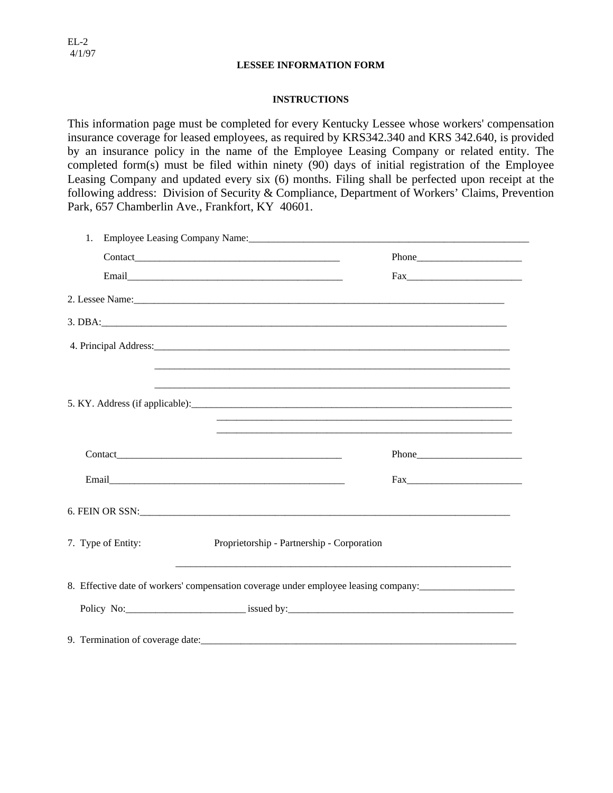## **LESSEE INFORMATION FORM**

# **INSTRUCTIONS**

This information page must be completed for every Kentucky Lessee whose workers' compensation insurance coverage for leased employees, as required by KRS342.340 and KRS 342.640, is provided by an insurance policy in the name of the Employee Leasing Company or related entity. The completed form(s) must be filed within ninety (90) days of initial registration of the Employee Leasing Company and updated every six (6) months. Filing shall be perfected upon receipt at the following address: Division of Security & Compliance, Department of Workers' Claims, Prevention Park, 657 Chamberlin Ave., Frankfort, KY 40601.

| 1.                 | Employee Leasing Company Name: 2008. [2010] Mannes Assembly Discover Press, 2010. [2010] Mannes Assembly Discover Press, 2010. [2010] Mannes Assembly Discover Press, 2010. [2010] Mannes Assembly Discover Press, 2010. [2010 |  |  |
|--------------------|--------------------------------------------------------------------------------------------------------------------------------------------------------------------------------------------------------------------------------|--|--|
|                    |                                                                                                                                                                                                                                |  |  |
|                    |                                                                                                                                                                                                                                |  |  |
|                    |                                                                                                                                                                                                                                |  |  |
|                    |                                                                                                                                                                                                                                |  |  |
|                    | 4. Principal Address: 2008. The contract of the contract of the contract of the contract of the contract of the contract of the contract of the contract of the contract of the contract of the contract of the contract of th |  |  |
|                    |                                                                                                                                                                                                                                |  |  |
|                    |                                                                                                                                                                                                                                |  |  |
|                    |                                                                                                                                                                                                                                |  |  |
|                    |                                                                                                                                                                                                                                |  |  |
|                    |                                                                                                                                                                                                                                |  |  |
|                    |                                                                                                                                                                                                                                |  |  |
| 7. Type of Entity: | Proprietorship - Partnership - Corporation                                                                                                                                                                                     |  |  |
|                    | 8. Effective date of workers' compensation coverage under employee leasing company: ______________________                                                                                                                     |  |  |
|                    |                                                                                                                                                                                                                                |  |  |
|                    |                                                                                                                                                                                                                                |  |  |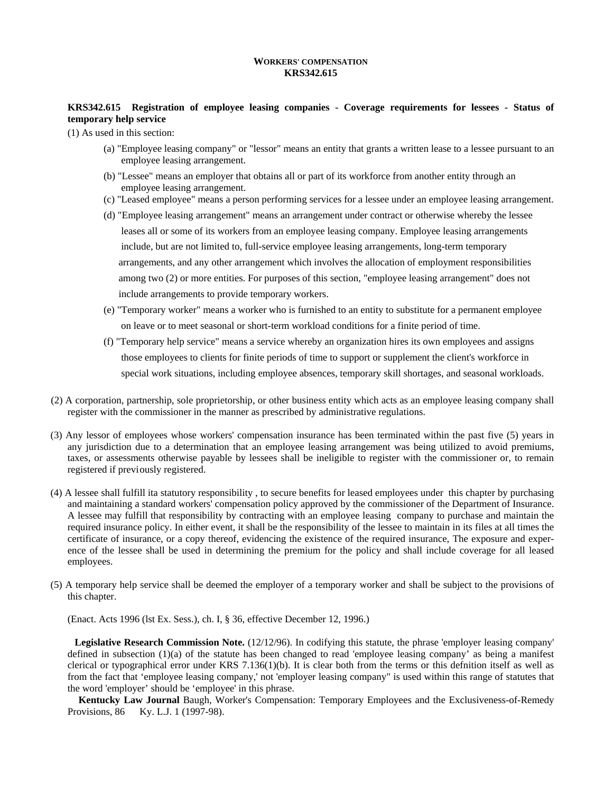## **WORKERS' COMPENSATION KRS342.615**

# **KRS342.615 Registration of employee leasing companies - Coverage requirements for lessees - Status of temporary help service**

(1) As used in this section:

- (a) "Employee leasing company" or "lessor" means an entity that grants a written lease to a lessee pursuant to an employee leasing arrangement.
- (b) "Lessee" means an employer that obtains all or part of its workforce from another entity through an employee leasing arrangement.
- (c) "Leased employee" means a person performing services for a lessee under an employee leasing arrangement.
- (d) "Employee leasing arrangement" means an arrangement under contract or otherwise whereby the lessee leases all or some of its workers from an employee leasing company. Employee leasing arrangements include, but are not limited to, full-service employee leasing arrangements, long-term temporary arrangements, and any other arrangement which involves the allocation of employment responsibilities among two (2) or more entities. For purposes of this section, "employee leasing arrangement" does not include arrangements to provide temporary workers.
- (e) "Temporary worker" means a worker who is furnished to an entity to substitute for a permanent employee on leave or to meet seasonal or short-term workload conditions for a finite period of time.
- (f) "Temporary help service" means a service whereby an organization hires its own employees and assigns those employees to clients for finite periods of time to support or supplement the client's workforce in special work situations, including employee absences, temporary skill shortages, and seasonal workloads.
- (2) A corporation, partnership, sole proprietorship, or other business entity which acts as an employee leasing company shall register with the commissioner in the manner as prescribed by administrative regulations.
- (3) Any lessor of employees whose workers' compensation insurance has been terminated within the past five (5) years in any jurisdiction due to a determination that an employee leasing arrangement was being utilized to avoid premiums, taxes, or assessments otherwise payable by lessees shall be ineligible to register with the commissioner or, to remain registered if previ ously registered.
- (4) A lessee shall fulfill ita statutory responsibility , to secure benefits for leased employees under this chapter by purchasing and maintaining a standard workers' compensation policy approved by the commissioner of the Department of Insurance. A lessee may fulfill that responsibility by contracting with an employee leasing company to purchase and maintain the required insurance policy. In either event, it shall be the responsibility of the lessee to maintain in its files at all times the certificate of insurance, or a copy thereof, evidencing the existence of the required insurance, The exposure and experence of the lessee shall be used in determining the premium for the policy and shall include coverage for all leased employees.
- (5) A temporary help service shall be deemed the employer of a temporary worker and shall be subject to the provisions of this chapter.

(Enact. Acts 1996 (lst Ex. Sess.), ch. I, § 36, effective December 12, 1996.)

**Legislative Research Commission Note.** (12/12/96). In codifying this statute, the phrase 'employer leasing company' defined in subsection (1)(a) of the statute has been changed to read 'employee leasing company' as being a manifest clerical or typographical error under KRS  $7.136(1)(b)$ . It is clear both from the terms or this defnition itself as well as from the fact that 'employee leasing company,' not 'employer leasing company" is used within this range of statutes that the word 'employer' should be 'employee' in this phrase.

**Kentucky Law Journal** Baugh, Worker's Compensation: Temporary Employees and the Exclusiveness-of-Remedy Provisions, 86 Ky. L.J. 1 (1997-98).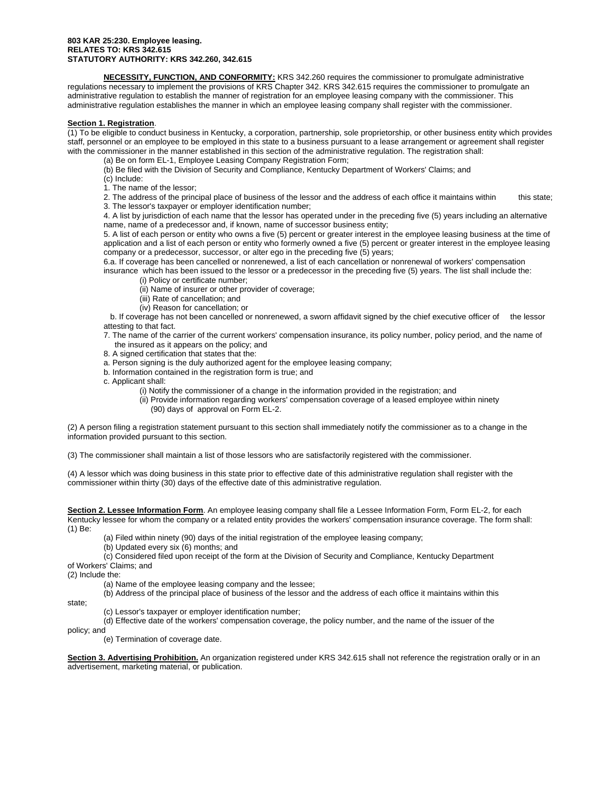#### **803 KAR 25:230. Employee leasing. RELATES TO: KRS 342.615 STATUTORY AUTHORITY: KRS 342.260, 342.615**

**NECESSITY, FUNCTION, AND CONFORMITY:** KRS 342.260 requires the commissioner to promulgate administrative regulations necessary to implement the provisions of KRS Chapter 342. KRS 342.615 requires the commissioner to promulgate an administrative regulation to establish the manner of registration for an employee leasing company with the commissioner. This administrative regulation establishes the manner in which an employee leasing company shall register with the commissioner.

### **Section 1. Registration**.

(1) To be eligible to conduct business in Kentucky, a corporation, partnership, sole proprietorship, or other business entity which provides staff, personnel or an employee to be employed in this state to a business pursuant to a lease arrangement or agreement shall register with the commissioner in the manner established in this section of the administrative regulation. The registration shall:

(a) Be on form EL-1, Employee Leasing Company Registration Form;

(b) Be filed with the Division of Security and Compliance, Kentucky Department of Workers' Claims; and

(c) Include:

1. The name of the lessor;

2. The address of the principal place of business of the lessor and the address of each office it maintains within this state; 3. The lessor's taxpayer or employer identification number;

4. A list by jurisdiction of each name that the lessor has operated under in the preceding five (5) years including an alternative name, name of a predecessor and, if known, name of successor business entity;

5. A list of each person or entity who owns a five (5) percent or greater interest in the employee leasing business at the time of application and a list of each person or entity who formerly owned a five (5) percent or greater interest in the employee leasing company or a predecessor, successor, or alter ego in the preceding five (5) years;

6.a. If coverage has been cancelled or nonrenewed, a list of each cancellation or nonrenewal of workers' compensation

insurance which has been issued to the lessor or a predecessor in the preceding five (5) years. The list shall include the: (i) Policy or certificate number;

(ii) Name of insurer or other provider of coverage;

(iii) Rate of cancellation; and

(iv) Reason for cancellation; or

 b. If coverage has not been cancelled or nonrenewed, a sworn affidavit signed by the chief executive officer of the lessor attesting to that fact.

 7. The name of the carrier of the current workers' compensation insurance, its policy number, policy period, and the name of the insured as it appears on the policy; and

8. A signed certification that states that the:

a. Person signing is the duly authorized agent for the employee leasing company;

b. Information contained in the registration form is true; and

c. Applicant shall:

(i) Notify the commissioner of a change in the information provided in the registration; and

 (ii) Provide information regarding workers' compensation coverage of a leased employee within ninety (90) days of approval on Form EL-2.

(2) A person filing a registration statement pursuant to this section shall immediately notify the commissioner as to a change in the information provided pursuant to this section.

(3) The commissioner shall maintain a list of those lessors who are satisfactorily registered with the commissioner.

(4) A lessor which was doing business in this state prior to effective date of this administrative regulation shall register with the commissioner within thirty (30) days of the effective date of this administrative regulation.

**Section 2. Lessee Information Form**. An employee leasing company shall file a Lessee Information Form, Form EL-2, for each Kentucky lessee for whom the company or a related entity provides the workers' compensation insurance coverage. The form shall: (1) Be:

(a) Filed within ninety (90) days of the initial registration of the employee leasing company;

(b) Updated every six (6) months; and

 (c) Considered filed upon receipt of the form at the Division of Security and Compliance, Kentucky Department of Workers' Claims; and

(2) Include the:

(a) Name of the employee leasing company and the lessee;

(b) Address of the principal place of business of the lessor and the address of each office it maintains within this

state;

(c) Lessor's taxpayer or employer identification number;

(d) Effective date of the workers' compensation coverage, the policy number, and the name of the issuer of the

policy; and

(e) Termination of coverage date.

**Section 3. Advertising Prohibition.** An organization registered under KRS 342.615 shall not reference the registration orally or in an advertisement, marketing material, or publication.